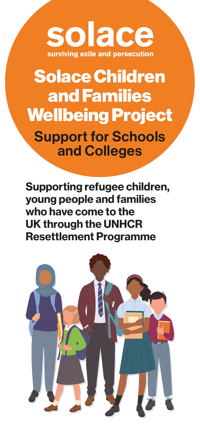## solace surviving exile and persecution

# Solace Children and Families Wellbeing Project

Support for Schools and Colleges

Supporting refugee children, young people and families who have come to the UK through the UNHCR Resettlement Programme

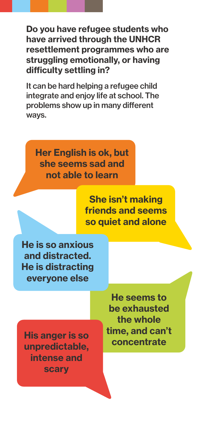Do you have refugee students who have arrived through the UNHCR resettlement programmes who are struggling emotionally, or having difficulty settling in?

It can be hard helping a refugee child integrate and enjoy life at school. The problems show up in many different ways.

Her English is ok, but she seems sad and not able to learn

> She isn't making friends and seems so quiet and alone

He is so anxious and distracted. He is distracting everyone else

His anger is so unpredictable, intense and scary

He seems to be exhausted the whole time, and can't concentrate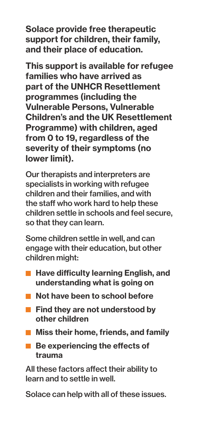Solace provide free therapeutic support for children, their family, and their place of education.

This support is available for refugee families who have arrived as part of the UNHCR Resettlement programmes (including the Vulnerable Persons, Vulnerable Children's and the UK Resettlement Programme) with children, aged from 0 to 19, regardless of the severity of their symptoms (no lower limit).

Our therapists and interpreters are specialists in working with refugee children and their families, and with the staff who work hard to help these children settle in schools and feel secure, so that they can learn.

Some children settle in well, and can engage with their education, but other children might:

- **Have difficulty learning English, and** understanding what is going on
- Not have been to school before
- $\blacksquare$  Find they are not understood by other children
- $\blacksquare$  Miss their home, friends, and family
- Be experiencing the effects of trauma

All these factors affect their ability to learn and to settle in well.

Solace can help with all of these issues.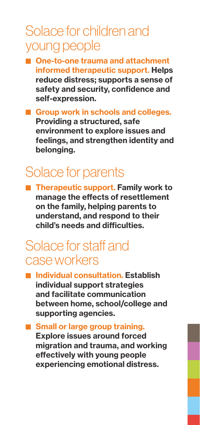## Solace for children and young people

- One-to-one trauma and attachment informed therapeutic support. Helps reduce distress; supports a sense of safety and security, confidence and self-expression.
- Group work in schools and colleges. Providing a structured, safe environment to explore issues and feelings, and strengthen identity and belonging.

#### Solace for parents

■ Therapeutic support. Family work to manage the effects of resettlement on the family, helping parents to understand, and respond to their child's needs and difficulties.

#### Solace for staff and case workers

■ Individual consultation. Establish individual support strategies and facilitate communication between home, school/college and supporting agencies.

**Small or large group training.** Explore issues around forced migration and trauma, and working effectively with young people experiencing emotional distress.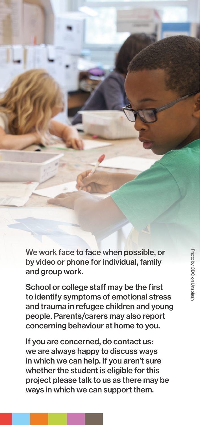Photo by CDC on Unsplash Photo by CDC on Unsplash

We work face to face when possible, or by video or phone for individual, family and group work.

School or college staff may be the first to identify symptoms of emotional stress and trauma in refugee children and young people. Parents/carers may also report concerning behaviour at home to you.

If you are concerned, do contact us: we are always happy to discuss ways in which we can help. If you aren't sure whether the student is eligible for this project please talk to us as there may be ways in which we can support them.